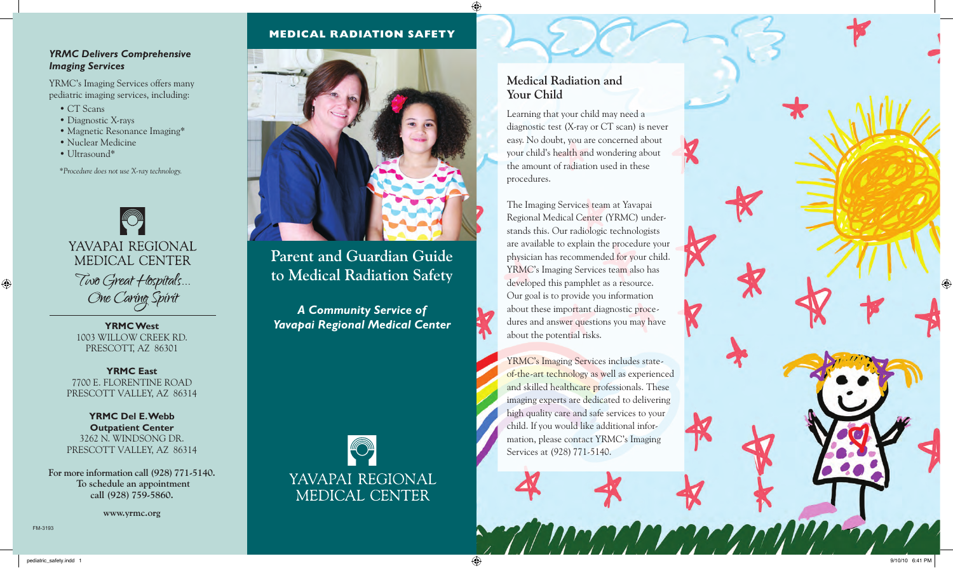# **MEDICAL RADIATION SAFETY**

## *YRMC Delivers Comprehensive Imaging Services*

YRMC's Imaging Services offers many pediatric imaging services, including:

- CT Scans
- Diagnostic X-rays
- Magnetic Resonance Imaging\*
- Nuclear Medicine
- Ultrasound\*

*\*Procedure does not use X-ray technology.*



**YRMC West**  1003 WILLOW CREEK RD. PRESCOTT, AZ 86301

**YRMC East**  7700 E. FLORENTINE RC PRESCOTT VALLEY, AZ 86314

**YRMC Del E. Webb Outpatient Center** 3262 N. WINDSONG DR. PRESCOTT VALLEY, AZ 86314

**For more information call (928) 771-5140. To schedule an appointment call (928) 759-5860.**

**www.yrmc.org**



**Parent and Guardian Guide to Medical Radiation Safety**

*A Community Service of Yavapai Regional Medical Center*



# **Medical Radiation and Your Child**

Learning that your child may need a diagnostic test (X-ray or CT scan) is never easy. No doubt, you are concerned about your child's health and wondering about the amount of radiation used in these procedures.

The Imaging Services team at Yavapai Regional Medical Center (YRMC) understands this. Our radiologic technologists are available to explain the procedure your physician has recommended for your child. YRMC's Imaging Services team also has developed this pamphlet as a resource. Our goal is to provide you information about these important diagnostic procedures and answer questions you may have about the potential risks.

YRMC's Imaging Services includes stateof-the-art technology as well as experienced and skilled healthcare professionals. These imaging experts are dedicated to delivering high quality care and safe services to your child. If you would like additional information, please contact YRMC's Imaging Services at (928) 771-5140.